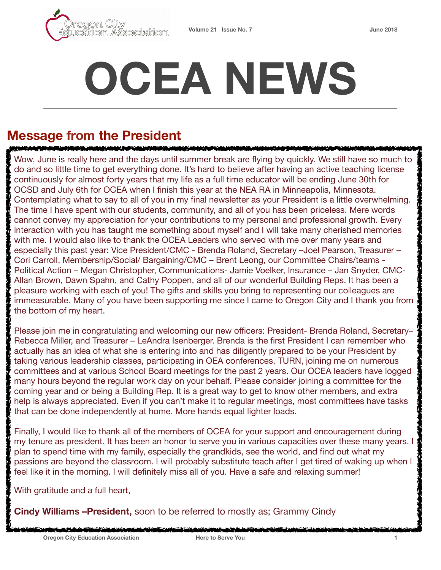

# **OCEA NEWS**

# **Message from the President**

RUMAN TANAH KALIMATAN DI SERIA DI SERIA PARTI Wow, June is really here and the days until summer break are flying by quickly. We still have so much to do and so little time to get everything done. It's hard to believe after having an active teaching license continuously for almost forty years that my life as a full time educator will be ending June 30th for OCSD and July 6th for OCEA when I finish this year at the NEA RA in Minneapolis, Minnesota. Contemplating what to say to all of you in my final newsletter as your President is a little overwhelming. The time I have spent with our students, community, and all of you has been priceless. Mere words cannot convey my appreciation for your contributions to my personal and professional growth. Every interaction with you has taught me something about myself and I will take many cherished memories with me. I would also like to thank the OCEA Leaders who served with me over many years and especially this past year: Vice President/CMC - Brenda Roland, Secretary –Joel Pearson, Treasurer – Cori Carroll, Membership/Social/ Bargaining/CMC – Brent Leong, our Committee Chairs/teams - Political Action – Megan Christopher, Communications- Jamie Voelker, Insurance – Jan Snyder, CMC-Allan Brown, Dawn Spahn, and Cathy Poppen, and all of our wonderful Building Reps. It has been a pleasure working with each of you! The gifts and skills you bring to representing our colleagues are immeasurable. Many of you have been supporting me since I came to Oregon City and I thank you from the bottom of my heart.

Please join me in congratulating and welcoming our new officers: President- Brenda Roland, Secretary– Rebecca Miller, and Treasurer – LeAndra Isenberger. Brenda is the first President I can remember who actually has an idea of what she is entering into and has diligently prepared to be your President by taking various leadership classes, participating in OEA conferences, TURN, joining me on numerous committees and at various School Board meetings for the past 2 years. Our OCEA leaders have logged many hours beyond the regular work day on your behalf. Please consider joining a committee for the coming year and or being a Building Rep. It is a great way to get to know other members, and extra help is always appreciated. Even if you can't make it to regular meetings, most committees have tasks that can be done independently at home. More hands equal lighter loads.

Finally, I would like to thank all of the members of OCEA for your support and encouragement during my tenure as president. It has been an honor to serve you in various capacities over these many years. I plan to spend time with my family, especially the grandkids, see the world, and find out what my passions are beyond the classroom. I will probably substitute teach after I get tired of waking up when I feel like it in the morning. I will definitely miss all of you. Have a safe and relaxing summer!

With gratitude and a full heart,

**Cindy Williams –President,** soon to be referred to mostly as; Grammy Cindy

والمرابع فتناهضه لنعمل